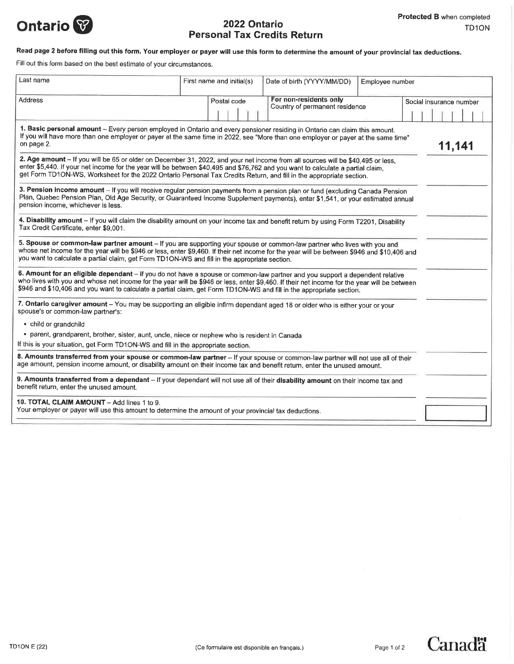

# Ontario **1973** 2022 Ontario Personal Tax Credits Return

## Read page 2 before filling out this form. Your employer or payer will use this form to determine the amount of your provincial tax deductions.

Fill out this form based on the best estimate of your circumstances.

| Last name                                                                                                                                                                                                                                                                                                                                                                                           | First name and initial(s) | Date of birth (YYYY/MM/DD)                               | Employee number |                         |
|-----------------------------------------------------------------------------------------------------------------------------------------------------------------------------------------------------------------------------------------------------------------------------------------------------------------------------------------------------------------------------------------------------|---------------------------|----------------------------------------------------------|-----------------|-------------------------|
| <b>Address</b>                                                                                                                                                                                                                                                                                                                                                                                      | Postal code               | For non-residents only<br>Country of permanent residence |                 | Social insurance number |
| 1. Basic personal amount - Every person employed in Ontario and every pensioner residing in Ontario can claim this amount.<br>If you will have more than one employer or payer at the same time in 2022, see "More than one employer or payer at the same time"<br>on page 2.<br>11,141                                                                                                             |                           |                                                          |                 |                         |
| 2. Age amount - If you will be 65 or older on December 31, 2022, and your net income from all sources will be \$40,495 or less,<br>enter \$5,440. If your net income for the year will be between \$40,495 and \$76,762 and you want to calculate a partial claim.<br>get Form TD1ON-WS, Worksheet for the 2022 Ontario Personal Tax Credits Return, and fill in the appropriate section.           |                           |                                                          |                 |                         |
| 3. Pension income amount - If you will receive regular pension payments from a pension plan or fund (excluding Canada Pension<br>Plan, Quebec Pension Plan, Old Age Security, or Guaranteed Income Supplement payments), enter \$1,541, or your estimated annual<br>pension income, whichever is less.                                                                                              |                           |                                                          |                 |                         |
| 4. Disability amount - If you will claim the disability amount on your income tax and benefit return by using Form T2201, Disability<br>Tax Credit Certificate, enter \$9,001.                                                                                                                                                                                                                      |                           |                                                          |                 |                         |
| 5. Spouse or common-law partner amount - If you are supporting your spouse or common-law partner who lives with you and<br>whose net income for the year will be \$946 or less, enter \$9,460. If their net income for the year will be between \$946 and \$10,406 and<br>you want to calculate a partial claim, get Form TD1ON-WS and fill in the appropriate section.                             |                           |                                                          |                 |                         |
| 6. Amount for an eligible dependant - if you do not have a spouse or common-law partner and you support a dependent relative<br>who lives with you and whose net income for the year will be \$946 or less, enter \$9,460. If their net income for the year will be between<br>\$946 and \$10,406 and you want to calculate a partial claim, get Form TD1ON-WS and fill in the appropriate section. |                           |                                                          |                 |                         |
| 7. Ontario caregiver amount - You may be supporting an eligible infirm dependant aged 18 or older who is either your or your<br>spouse's or common-law partner's:                                                                                                                                                                                                                                   |                           |                                                          |                 |                         |
| • child or grandchild                                                                                                                                                                                                                                                                                                                                                                               |                           |                                                          |                 |                         |
| · parent, grandparent, brother, sister, aunt, uncle, niece or nephew who is resident in Canada                                                                                                                                                                                                                                                                                                      |                           |                                                          |                 |                         |
| If this is your situation, get Form TD1ON-WS and fill in the appropriate section.                                                                                                                                                                                                                                                                                                                   |                           |                                                          |                 |                         |
| 8. Amounts transferred from your spouse or common-law partner -- If your spouse or common-law partner will not use all of their<br>age amount, pension income amount, or disability amount on their income tax and benefit return, enter the unused amount.                                                                                                                                         |                           |                                                          |                 |                         |
| 9. Amounts transferred from a dependant - If your dependant will not use all of their disability amount on their income tax and<br>benefit return, enter the unused amount.                                                                                                                                                                                                                         |                           |                                                          |                 |                         |
| 10. TOTAL CLAIM AMOUNT - Add lines 1 to 9.<br>Your employer or payer will use this amount to determine the amount of your provincial tax deductions.                                                                                                                                                                                                                                                |                           |                                                          |                 |                         |
|                                                                                                                                                                                                                                                                                                                                                                                                     |                           |                                                          |                 |                         |